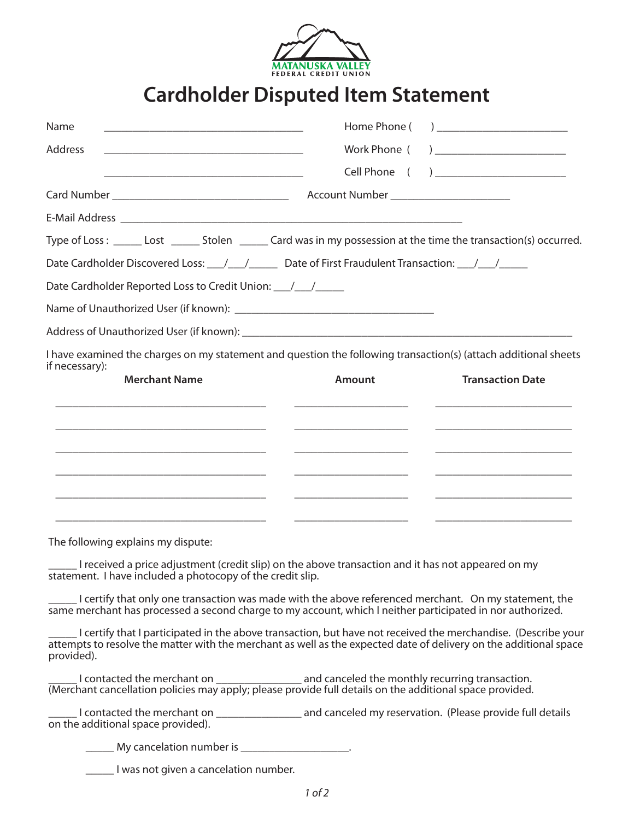

## **Cardholder Disputed Item Statement**

| Name                                                                                                                                                                                                                                             | Home Phone (  | ) <u>______________</u>                 |
|--------------------------------------------------------------------------------------------------------------------------------------------------------------------------------------------------------------------------------------------------|---------------|-----------------------------------------|
| <b>Address</b>                                                                                                                                                                                                                                   | Work Phone (  | <u>) ___________________________</u>    |
| <u> 1989 - Johann Stein, mars an deutscher Stein und der Stein und der Stein und der Stein und der Stein und der</u>                                                                                                                             |               | Cell Phone ( ) ________________________ |
|                                                                                                                                                                                                                                                  |               |                                         |
|                                                                                                                                                                                                                                                  |               |                                         |
| Type of Loss: ______ Lost ______ Stolen ______ Card was in my possession at the time the transaction(s) occurred.                                                                                                                                |               |                                         |
| Date Cardholder Discovered Loss: 1/1/1000 Date of First Fraudulent Transaction: 1/1/1000                                                                                                                                                         |               |                                         |
| Date Cardholder Reported Loss to Credit Union: _________________________________                                                                                                                                                                 |               |                                         |
|                                                                                                                                                                                                                                                  |               |                                         |
|                                                                                                                                                                                                                                                  |               |                                         |
| I have examined the charges on my statement and question the following transaction(s) (attach additional sheets                                                                                                                                  |               |                                         |
| if necessary):<br><b>Merchant Name</b>                                                                                                                                                                                                           | <b>Amount</b> | <b>Transaction Date</b>                 |
|                                                                                                                                                                                                                                                  |               |                                         |
|                                                                                                                                                                                                                                                  |               |                                         |
|                                                                                                                                                                                                                                                  |               |                                         |
|                                                                                                                                                                                                                                                  |               |                                         |
|                                                                                                                                                                                                                                                  |               |                                         |
|                                                                                                                                                                                                                                                  |               |                                         |
| The following explains my dispute:                                                                                                                                                                                                               |               |                                         |
| I received a price adjustment (credit slip) on the above transaction and it has not appeared on my                                                                                                                                               |               |                                         |
| statement. I have included a photocopy of the credit slip.                                                                                                                                                                                       |               |                                         |
| I certify that only one transaction was made with the above referenced merchant. On my statement, the<br>same merchant has processed a second charge to my account, which I neither participated in nor authorized.                              |               |                                         |
| Lertify that I participated in the above transaction, but have not received the merchandise. (Describe your  <br>attempts to resolve the matter with the merchant as well as the expected date of delivery on the additional space<br>provided). |               |                                         |
|                                                                                                                                                                                                                                                  |               |                                         |
| I contacted the merchant on ________________________ and canceled my reservation. (Please provide full details<br>on the additional space provided).                                                                                             |               |                                         |

**My cancelation number is \_\_\_\_\_\_\_\_\_\_\_\_\_\_\_\_\_\_\_\_\_** 

\_\_\_\_\_ I was not given a cancelation number.